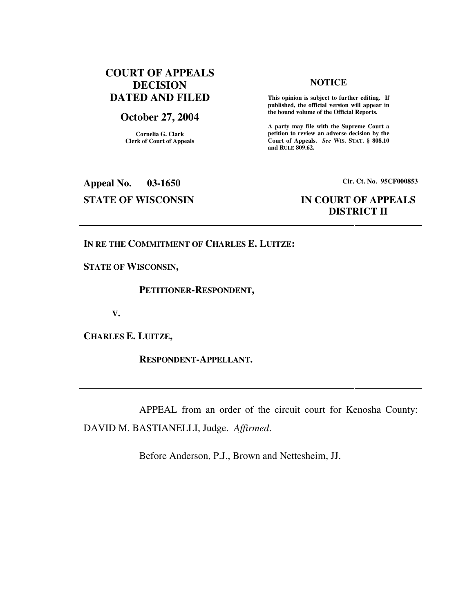## **COURT OF APPEALS DECISION DATED AND FILED**

### **October 27, 2004**

**Cornelia G. Clark Clerk of Court of Appeals**

#### **NOTICE**

 **This opinion is subject to further editing. If published, the official version will appear in the bound volume of the Official Reports.** 

**A party may file with the Supreme Court a petition to review an adverse decision by the Court of Appeals.** *See* **WIS. STAT. § 808.10 and RULE 809.62.** 

# **Appeal No. 03-1650 Cir. Ct. No. 95CF000853**

### **STATE OF WISCONSIN IN COURT OF APPEALS DISTRICT II**

### **IN RE THE COMMITMENT OF CHARLES E. LUITZE:**

**STATE OF WISCONSIN,** 

 **PETITIONER-RESPONDENT,** 

 **V.** 

**CHARLES E. LUITZE,** 

 **RESPONDENT-APPELLANT.** 

 APPEAL from an order of the circuit court for Kenosha County: DAVID M. BASTIANELLI, Judge. *Affirmed*.

Before Anderson, P.J., Brown and Nettesheim, JJ.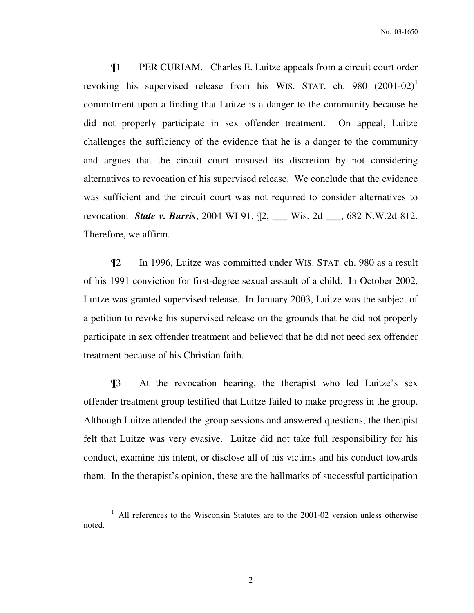¶1 PER CURIAM. Charles E. Luitze appeals from a circuit court order revoking his supervised release from his WIS. STAT. ch. 980  $(2001-02)^1$ commitment upon a finding that Luitze is a danger to the community because he did not properly participate in sex offender treatment. On appeal, Luitze challenges the sufficiency of the evidence that he is a danger to the community and argues that the circuit court misused its discretion by not considering alternatives to revocation of his supervised release. We conclude that the evidence was sufficient and the circuit court was not required to consider alternatives to revocation. *State v. Burris*, 2004 WI 91, ¶2, \_\_\_ Wis. 2d \_\_\_, 682 N.W.2d 812. Therefore, we affirm.

¶2 In 1996, Luitze was committed under WIS. STAT. ch. 980 as a result of his 1991 conviction for first-degree sexual assault of a child. In October 2002, Luitze was granted supervised release. In January 2003, Luitze was the subject of a petition to revoke his supervised release on the grounds that he did not properly participate in sex offender treatment and believed that he did not need sex offender treatment because of his Christian faith.

¶3 At the revocation hearing, the therapist who led Luitze's sex offender treatment group testified that Luitze failed to make progress in the group. Although Luitze attended the group sessions and answered questions, the therapist felt that Luitze was very evasive. Luitze did not take full responsibility for his conduct, examine his intent, or disclose all of his victims and his conduct towards them. In the therapist's opinion, these are the hallmarks of successful participation

 $\overline{a}$ 

<sup>&</sup>lt;sup>1</sup> All references to the Wisconsin Statutes are to the 2001-02 version unless otherwise noted.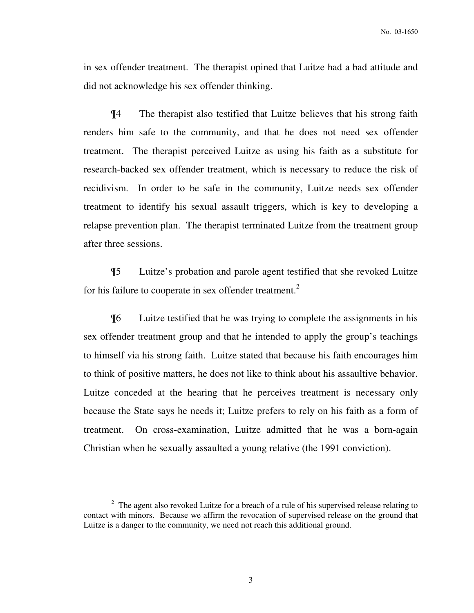in sex offender treatment. The therapist opined that Luitze had a bad attitude and did not acknowledge his sex offender thinking.

¶4 The therapist also testified that Luitze believes that his strong faith renders him safe to the community, and that he does not need sex offender treatment. The therapist perceived Luitze as using his faith as a substitute for research-backed sex offender treatment, which is necessary to reduce the risk of recidivism. In order to be safe in the community, Luitze needs sex offender treatment to identify his sexual assault triggers, which is key to developing a relapse prevention plan. The therapist terminated Luitze from the treatment group after three sessions.

¶5 Luitze's probation and parole agent testified that she revoked Luitze for his failure to cooperate in sex offender treatment.<sup>2</sup>

¶6 Luitze testified that he was trying to complete the assignments in his sex offender treatment group and that he intended to apply the group's teachings to himself via his strong faith. Luitze stated that because his faith encourages him to think of positive matters, he does not like to think about his assaultive behavior. Luitze conceded at the hearing that he perceives treatment is necessary only because the State says he needs it; Luitze prefers to rely on his faith as a form of treatment. On cross-examination, Luitze admitted that he was a born-again Christian when he sexually assaulted a young relative (the 1991 conviction).

 $\overline{a}$ 

 $2<sup>2</sup>$  The agent also revoked Luitze for a breach of a rule of his supervised release relating to contact with minors. Because we affirm the revocation of supervised release on the ground that Luitze is a danger to the community, we need not reach this additional ground.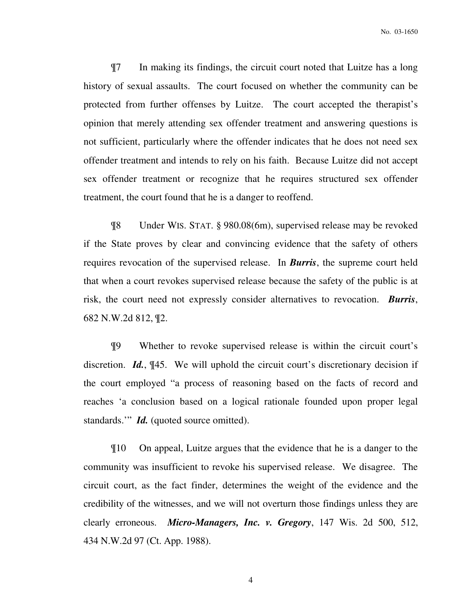¶7 In making its findings, the circuit court noted that Luitze has a long history of sexual assaults. The court focused on whether the community can be protected from further offenses by Luitze. The court accepted the therapist's opinion that merely attending sex offender treatment and answering questions is not sufficient, particularly where the offender indicates that he does not need sex offender treatment and intends to rely on his faith. Because Luitze did not accept sex offender treatment or recognize that he requires structured sex offender treatment, the court found that he is a danger to reoffend.

¶8 Under WIS. STAT. § 980.08(6m), supervised release may be revoked if the State proves by clear and convincing evidence that the safety of others requires revocation of the supervised release. In *Burris*, the supreme court held that when a court revokes supervised release because the safety of the public is at risk, the court need not expressly consider alternatives to revocation. *Burris*, 682 N.W.2d 812, ¶2.

¶9 Whether to revoke supervised release is within the circuit court's discretion. *Id.*, ¶45. We will uphold the circuit court's discretionary decision if the court employed "a process of reasoning based on the facts of record and reaches 'a conclusion based on a logical rationale founded upon proper legal standards." *Id.* (quoted source omitted).

¶10 On appeal, Luitze argues that the evidence that he is a danger to the community was insufficient to revoke his supervised release. We disagree. The circuit court, as the fact finder, determines the weight of the evidence and the credibility of the witnesses, and we will not overturn those findings unless they are clearly erroneous. *Micro-Managers, Inc. v. Gregory*, 147 Wis. 2d 500, 512, 434 N.W.2d 97 (Ct. App. 1988).

4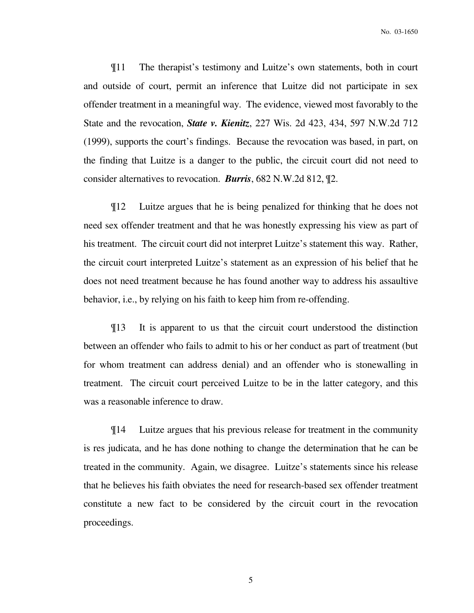¶11 The therapist's testimony and Luitze's own statements, both in court and outside of court, permit an inference that Luitze did not participate in sex offender treatment in a meaningful way. The evidence, viewed most favorably to the State and the revocation, *State v. Kienitz*, 227 Wis. 2d 423, 434, 597 N.W.2d 712 (1999), supports the court's findings. Because the revocation was based, in part, on the finding that Luitze is a danger to the public, the circuit court did not need to consider alternatives to revocation. *Burris*, 682 N.W.2d 812, ¶2.

¶12 Luitze argues that he is being penalized for thinking that he does not need sex offender treatment and that he was honestly expressing his view as part of his treatment. The circuit court did not interpret Luitze's statement this way. Rather, the circuit court interpreted Luitze's statement as an expression of his belief that he does not need treatment because he has found another way to address his assaultive behavior, i.e., by relying on his faith to keep him from re-offending.

¶13 It is apparent to us that the circuit court understood the distinction between an offender who fails to admit to his or her conduct as part of treatment (but for whom treatment can address denial) and an offender who is stonewalling in treatment. The circuit court perceived Luitze to be in the latter category, and this was a reasonable inference to draw.

¶14 Luitze argues that his previous release for treatment in the community is res judicata, and he has done nothing to change the determination that he can be treated in the community. Again, we disagree. Luitze's statements since his release that he believes his faith obviates the need for research-based sex offender treatment constitute a new fact to be considered by the circuit court in the revocation proceedings.

5